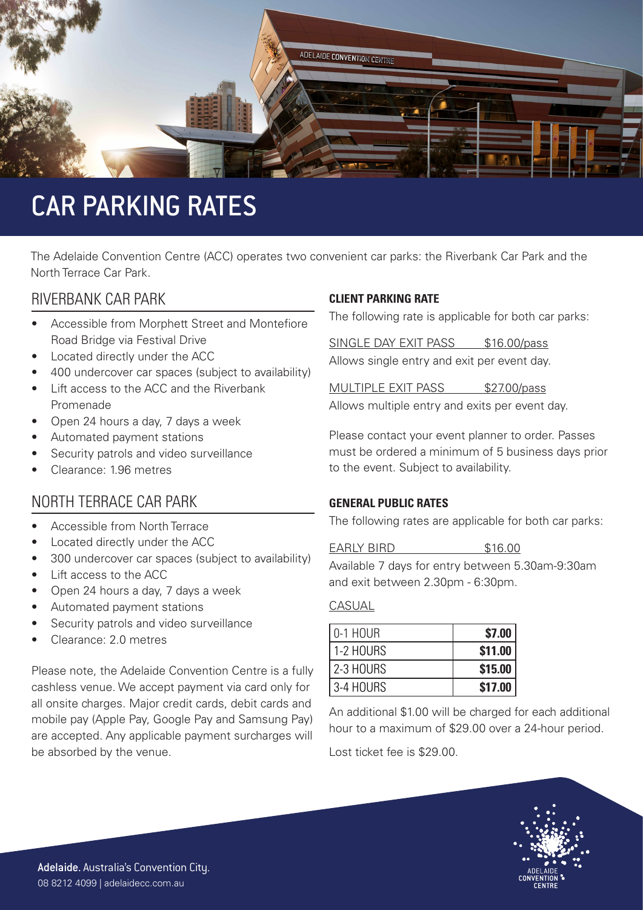

# CAR PARKING RATES

The Adelaide Convention Centre (ACC) operates two convenient car parks: the Riverbank Car Park and the North Terrace Car Park.

### RIVERBANK CAR PARK

- Accessible from Morphett Street and Montefiore Road Bridge via Festival Drive
- Located directly under the ACC
- 400 undercover car spaces (subject to availability)
- Lift access to the ACC and the Riverbank Promenade
- Open 24 hours a day, 7 days a week
- Automated payment stations
- Security patrols and video surveillance
- Clearance: 1.96 metres

### NORTH TERRACE CAR PARK

- Accessible from North Terrace
- Located directly under the ACC
- 300 undercover car spaces (subject to availability)
- Lift access to the ACC
- Open 24 hours a day, 7 days a week
- Automated payment stations
- Security patrols and video surveillance
- Clearance: 2.0 metres

Please note, the Adelaide Convention Centre is a fully cashless venue. We accept payment via card only for all onsite charges. Major credit cards, debit cards and mobile pay (Apple Pay, Google Pay and Samsung Pay) are accepted. Any applicable payment surcharges will be absorbed by the venue.

#### **CLIENT PARKING RATE**

The following rate is applicable for both car parks:

SINGLE DAY EXIT PASS \$16.00/pass Allows single entry and exit per event day.

MULTIPLE EXIT PASS \$27.00/pass Allows multiple entry and exits per event day.

Please contact your event planner to order. Passes must be ordered a minimum of 5 business days prior to the event. Subject to availability.

#### **GENERAL PUBLIC RATES**

The following rates are applicable for both car parks:

EARLY BIRD \$16.00

Available 7 days for entry between 5.30am-9:30am and exit between 2.30pm - 6:30pm.

#### CASUAL

| l 0-1 HOUR  | \$7.00  |
|-------------|---------|
| 1-2 HOURS   | \$11.00 |
| l 2-3 HOURS | \$15.00 |
| I 3-4 HOURS | \$17.00 |

An additional \$1.00 will be charged for each additional hour to a maximum of \$29.00 over a 24-hour period.

Lost ticket fee is \$29.00.